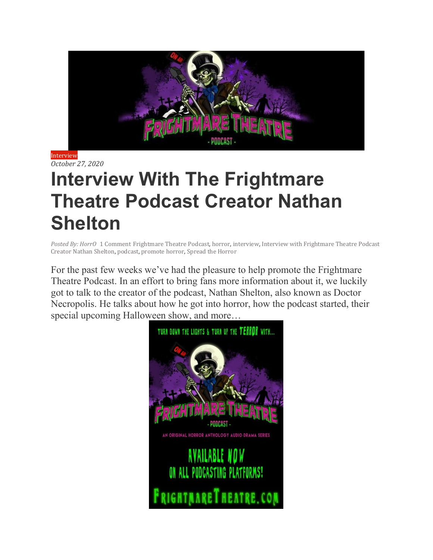

[Interview](http://promotehorror.com/category/interview/) *[October](http://promotehorror.com/2020/10/27/interview-with-the-frightmare-theatre-podcast-creator-nathan-shelton/) 27, 2020*

# **Interview With The Frightmare Theatre Podcast Creator Nathan Shelton**

*[Posted](http://promotehorror.com/author/horror/) By: HorrO* 1 [Comment](http://promotehorror.com/2020/10/27/interview-with-the-frightmare-theatre-podcast-creator-nathan-shelton/#comments) [Frightmare](http://promotehorror.com/tag/frightmare-theatre-podcast/) Theatre Podcast, [horror,](http://promotehorror.com/tag/horror/) [interview,](http://promotehorror.com/tag/interview/) Interview with [Frightmare](http://promotehorror.com/tag/interview-with-frightmare-theatre-podcast-creator-nathan-shelton/) Theatre Podcast Creator Nathan [Shelton,](http://promotehorror.com/tag/interview-with-frightmare-theatre-podcast-creator-nathan-shelton/) [podcast,](http://promotehorror.com/tag/podcast/) [promote](http://promotehorror.com/tag/promote-horror/) horror, [Spread](http://promotehorror.com/tag/spread-the-horror/) the Horror

For the past few weeks we've had the pleasure to help promote the Frightmare Theatre Podcast. In an effort to bring fans more information about it, we luckily got to talk to the creator of the podcast, Nathan Shelton, also known as Doctor Necropolis. He talks about how he got into horror, how the podcast started, their special upcoming Halloween show, and more…

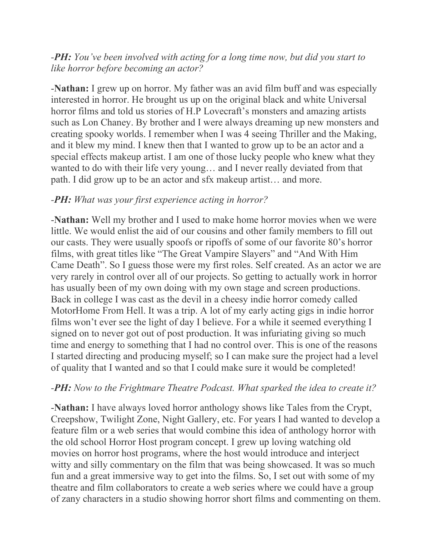## *-PH: You've been involved with acting for a long time now, but did you start to like horror before becoming an actor?*

-**Nathan:** I grew up on horror. My father was an avid film buff and was especially interested in horror. He brought us up on the original black and white Universal horror films and told us stories of H.P Lovecraft's monsters and amazing artists such as Lon Chaney. By brother and I were always dreaming up new monsters and creating spooky worlds. I remember when I was 4 seeing Thriller and the Making, and it blew my mind. I knew then that I wanted to grow up to be an actor and a special effects makeup artist. I am one of those lucky people who knew what they wanted to do with their life very young… and I never really deviated from that path. I did grow up to be an actor and sfx makeup artist… and more.

#### *-PH: What was your first experience acting in horror?*

-**Nathan:** Well my brother and I used to make home horror movies when we were little. We would enlist the aid of our cousins and other family members to fill out our casts. They were usually spoofs or ripoffs of some of our favorite 80's horror films, with great titles like "The Great Vampire Slayers" and "And With Him Came Death". So I guess those were my first roles. Self created. As an actor we are very rarely in control over all of our projects. So getting to actually work in horror has usually been of my own doing with my own stage and screen productions. Back in college I was cast as the devil in a cheesy indie horror comedy called MotorHome From Hell. It was a trip. A lot of my early acting gigs in indie horror films won't ever see the light of day I believe. For a while it seemed everything I signed on to never got out of post production. It was infuriating giving so much time and energy to something that I had no control over. This is one of the reasons I started directing and producing myself; so I can make sure the project had a level of quality that I wanted and so that I could make sure it would be completed!

#### *-PH: Now to the Frightmare Theatre Podcast. What sparked the idea to create it?*

-**Nathan:** I have always loved horror anthology shows like Tales from the Crypt, Creepshow, Twilight Zone, Night Gallery, etc. For years I had wanted to develop a feature film or a web series that would combine this idea of anthology horror with the old school Horror Host program concept. I grew up loving watching old movies on horror host programs, where the host would introduce and interject witty and silly commentary on the film that was being showcased. It was so much fun and a great immersive way to get into the films. So, I set out with some of my theatre and film collaborators to create a web series where we could have a group of zany characters in a studio showing horror short films and commenting on them.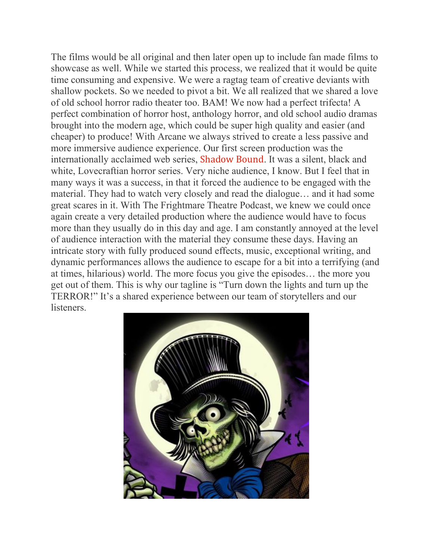The films would be all original and then later open up to include fan made films to showcase as well. While we started this process, we realized that it would be quite time consuming and expensive. We were a ragtag team of creative deviants with shallow pockets. So we needed to pivot a bit. We all realized that we shared a love of old school horror radio theater too. BAM! We now had a perfect trifecta! A perfect combination of horror host, anthology horror, and old school audio dramas brought into the modern age, which could be super high quality and easier (and cheaper) to produce! With Arcane we always strived to create a less passive and more immersive audience experience. Our first screen production was the internationally acclaimed web series, [Shadow](https://www.youtube.com/user/ShadowBoundSeries) Bound. It was a silent, black and white, Lovecraftian horror series. Very niche audience, I know. But I feel that in many ways it was a success, in that it forced the audience to be engaged with the material. They had to watch very closely and read the dialogue… and it had some great scares in it. With The Frightmare Theatre Podcast, we knew we could once again create a very detailed production where the audience would have to focus more than they usually do in this day and age. I am constantly annoyed at the level of audience interaction with the material they consume these days. Having an intricate story with fully produced sound effects, music, exceptional writing, and dynamic performances allows the audience to escape for a bit into a terrifying (and at times, hilarious) world. The more focus you give the episodes… the more you get out of them. This is why our tagline is "Turn down the lights and turn up the TERROR!" It's a shared experience between our team of storytellers and our listeners.

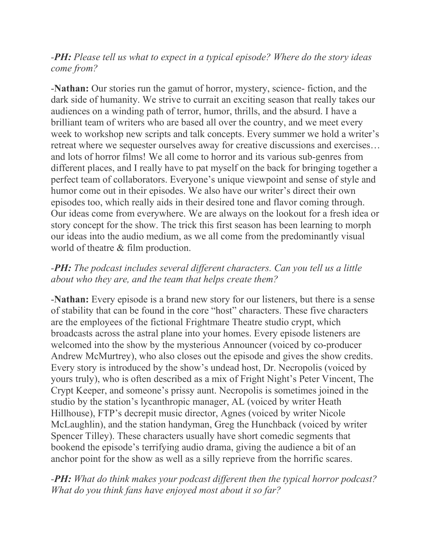### *-PH: Please tell us what to expect in a typical episode? Where do the story ideas come from?*

-**Nathan:** Our stories run the gamut of horror, mystery, science- fiction, and the dark side of humanity. We strive to currait an exciting season that really takes our audiences on a winding path of terror, humor, thrills, and the absurd. I have a brilliant team of writers who are based all over the country, and we meet every week to workshop new scripts and talk concepts. Every summer we hold a writer's retreat where we sequester ourselves away for creative discussions and exercises… and lots of horror films! We all come to horror and its various sub-genres from different places, and I really have to pat myself on the back for bringing together a perfect team of collaborators. Everyone's unique viewpoint and sense of style and humor come out in their episodes. We also have our writer's direct their own episodes too, which really aids in their desired tone and flavor coming through. Our ideas come from everywhere. We are always on the lookout for a fresh idea or story concept for the show. The trick this first season has been learning to morph our ideas into the audio medium, as we all come from the predominantly visual world of theatre & film production.

# *-PH: The podcast includes several different characters. Can you tell us a little about who they are, and the team that helps create them?*

-**Nathan:** Every episode is a brand new story for our listeners, but there is a sense of stability that can be found in the core "host" characters. These five characters are the employees of the fictional Frightmare Theatre studio crypt, which broadcasts across the astral plane into your homes. Every episode listeners are welcomed into the show by the mysterious Announcer (voiced by co-producer Andrew McMurtrey), who also closes out the episode and gives the show credits. Every story is introduced by the show's undead host, Dr. Necropolis (voiced by yours truly), who is often described as a mix of Fright Night's Peter Vincent, The Crypt Keeper, and someone's prissy aunt. Necropolis is sometimes joined in the studio by the station's lycanthropic manager, AL (voiced by writer Heath Hillhouse), FTP's decrepit music director, Agnes (voiced by writer Nicole McLaughlin), and the station handyman, Greg the Hunchback (voiced by writer Spencer Tilley). These characters usually have short comedic segments that bookend the episode's terrifying audio drama, giving the audience a bit of an anchor point for the show as well as a silly reprieve from the horrific scares.

# *-PH: What do think makes your podcast different then the typical horror podcast? What do you think fans have enjoyed most about it so far?*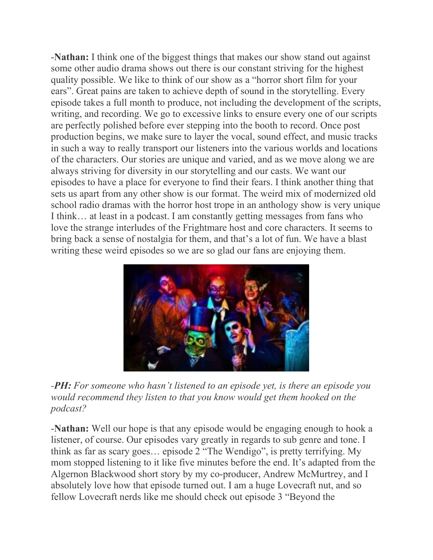-**Nathan:** I think one of the biggest things that makes our show stand out against some other audio drama shows out there is our constant striving for the highest quality possible. We like to think of our show as a "horror short film for your ears". Great pains are taken to achieve depth of sound in the storytelling. Every episode takes a full month to produce, not including the development of the scripts, writing, and recording. We go to excessive links to ensure every one of our scripts are perfectly polished before ever stepping into the booth to record. Once post production begins, we make sure to layer the vocal, sound effect, and music tracks in such a way to really transport our listeners into the various worlds and locations of the characters. Our stories are unique and varied, and as we move along we are always striving for diversity in our storytelling and our casts. We want our episodes to have a place for everyone to find their fears. I think another thing that sets us apart from any other show is our format. The weird mix of modernized old school radio dramas with the horror host trope in an anthology show is very unique I think… at least in a podcast. I am constantly getting messages from fans who love the strange interludes of the Frightmare host and core characters. It seems to bring back a sense of nostalgia for them, and that's a lot of fun. We have a blast writing these weird episodes so we are so glad our fans are enjoying them.



*-PH: For someone who hasn't listened to an episode yet, is there an episode you would recommend they listen to that you know would get them hooked on the podcast?*

-**Nathan:** Well our hope is that any episode would be engaging enough to hook a listener, of course. Our episodes vary greatly in regards to sub genre and tone. I think as far as scary goes… episode 2 "The Wendigo", is pretty terrifying. My mom stopped listening to it like five minutes before the end. It's adapted from the Algernon Blackwood short story by my co-producer, Andrew McMurtrey, and I absolutely love how that episode turned out. I am a huge Lovecraft nut, and so fellow Lovecraft nerds like me should check out episode 3 "Beyond the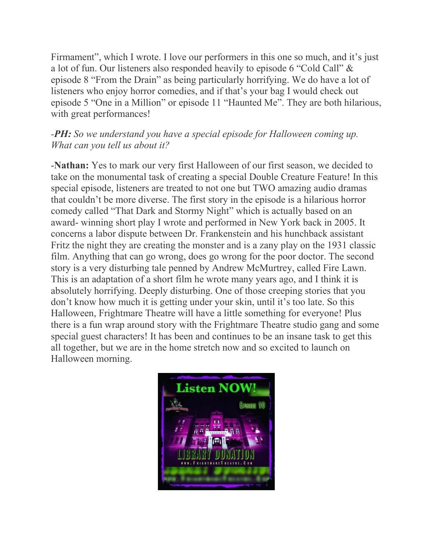Firmament", which I wrote. I love our performers in this one so much, and it's just a lot of fun. Our listeners also responded heavily to episode 6 "Cold Call" & episode 8 "From the Drain" as being particularly horrifying. We do have a lot of listeners who enjoy horror comedies, and if that's your bag I would check out episode 5 "One in a Million" or episode 11 "Haunted Me". They are both hilarious, with great performances!

### *-PH: So we understand you have a special episode for Halloween coming up. What can you tell us about it?*

-**Nathan:** Yes to mark our very first Halloween of our first season, we decided to take on the monumental task of creating a special Double Creature Feature! In this special episode, listeners are treated to not one but TWO amazing audio dramas that couldn't be more diverse. The first story in the episode is a hilarious horror comedy called "That Dark and Stormy Night" which is actually based on an award- winning short play I wrote and performed in New York back in 2005. It concerns a labor dispute between Dr. Frankenstein and his hunchback assistant Fritz the night they are creating the monster and is a zany play on the 1931 classic film. Anything that can go wrong, does go wrong for the poor doctor. The second story is a very disturbing tale penned by Andrew McMurtrey, called Fire Lawn. This is an adaptation of a short film he wrote many years ago, and I think it is absolutely horrifying. Deeply disturbing. One of those creeping stories that you don't know how much it is getting under your skin, until it's too late. So this Halloween, Frightmare Theatre will have a little something for everyone! Plus there is a fun wrap around story with the Frightmare Theatre studio gang and some special guest characters! It has been and continues to be an insane task to get this all together, but we are in the home stretch now and so excited to launch on Halloween morning.